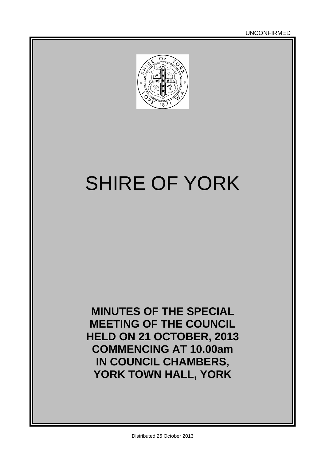UNCONFIRMED



# SHIRE OF YORK

**MINUTES OF THE SPECIAL MEETING OF THE COUNCIL HELD ON 21 OCTOBER, 2013 COMMENCING AT 10.00am IN COUNCIL CHAMBERS, YORK TOWN HALL, YORK**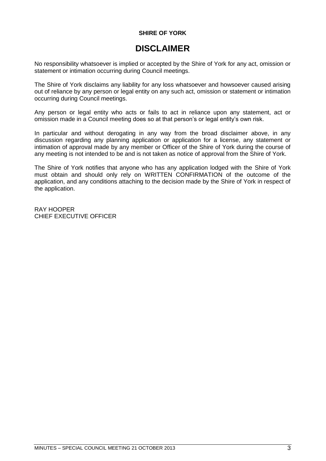#### **SHIRE OF YORK**

# **DISCLAIMER**

No responsibility whatsoever is implied or accepted by the Shire of York for any act, omission or statement or intimation occurring during Council meetings.

The Shire of York disclaims any liability for any loss whatsoever and howsoever caused arising out of reliance by any person or legal entity on any such act, omission or statement or intimation occurring during Council meetings.

Any person or legal entity who acts or fails to act in reliance upon any statement, act or omission made in a Council meeting does so at that person's or legal entity's own risk.

In particular and without derogating in any way from the broad disclaimer above, in any discussion regarding any planning application or application for a license, any statement or intimation of approval made by any member or Officer of the Shire of York during the course of any meeting is not intended to be and is not taken as notice of approval from the Shire of York.

The Shire of York notifies that anyone who has any application lodged with the Shire of York must obtain and should only rely on WRITTEN CONFIRMATION of the outcome of the application, and any conditions attaching to the decision made by the Shire of York in respect of the application.

RAY HOOPER CHIEF EXECUTIVE OFFICER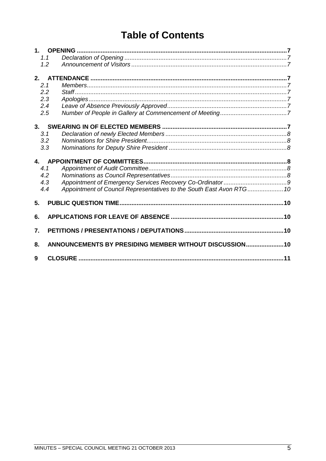# **Table of Contents**

| 1.           |                                                                      |  |
|--------------|----------------------------------------------------------------------|--|
| 1.1          |                                                                      |  |
| 1.2          |                                                                      |  |
| 2.           |                                                                      |  |
| 2.1          |                                                                      |  |
| 2.2          |                                                                      |  |
| 2.3          |                                                                      |  |
| 2.4          |                                                                      |  |
| 2.5          |                                                                      |  |
| 3.           |                                                                      |  |
| 3.1          |                                                                      |  |
| 3.2          |                                                                      |  |
| 3.3          |                                                                      |  |
| $\mathbf{A}$ |                                                                      |  |
| 4.1          |                                                                      |  |
| 4.2          |                                                                      |  |
| 4.3          |                                                                      |  |
| 4.4          | Appointment of Council Representatives to the South East Avon RTG 10 |  |
| 5.           |                                                                      |  |
| 6.           |                                                                      |  |
| 7.           |                                                                      |  |
|              |                                                                      |  |
| 8.           | ANNOUNCEMENTS BY PRESIDING MEMBER WITHOUT DISCUSSION 10              |  |
| 9            |                                                                      |  |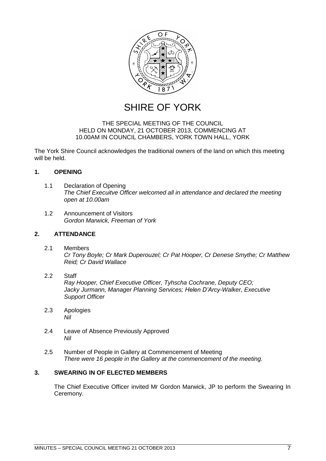

SHIRE OF YORK

#### THE SPECIAL MEETING OF THE COUNCIL HELD ON MONDAY, 21 OCTOBER 2013, COMMENCING AT 10.00AM IN COUNCIL CHAMBERS, YORK TOWN HALL, YORK

The York Shire Council acknowledges the traditional owners of the land on which this meeting will be held.

#### <span id="page-6-0"></span>**1. OPENING**

- <span id="page-6-1"></span>1.1 Declaration of Opening *The Chief Execuitve Officer welcomed all in attendance and declared the meeting open at 10.00am*
- <span id="page-6-2"></span>1.2 Announcement of Visitors *Gordon Marwick, Freeman of York*

#### <span id="page-6-3"></span>**2. ATTENDANCE**

- <span id="page-6-4"></span>2.1 Members *Cr Tony Boyle; Cr Mark Duperouzel; Cr Pat Hooper, Cr Denese Smythe; Cr Matthew Reid; Cr David Wallace*
- <span id="page-6-5"></span>2.2 Staff

*Ray Hooper, Chief Executive Officer, Tyhscha Cochrane, Deputy CEO; Jacky Jurmann, Manager Planning Services; Helen D'Arcy-Walker, Executive Support Officer*

- <span id="page-6-6"></span>2.3 Apologies *Nil*
- <span id="page-6-7"></span>2.4 Leave of Absence Previously Approved *Nil*
- <span id="page-6-8"></span>2.5 Number of People in Gallery at Commencement of Meeting *There were 16 people in the Gallery at the commencement of the meeting.*

#### <span id="page-6-9"></span>**3. SWEARING IN OF ELECTED MEMBERS**

<span id="page-6-10"></span>The Chief Executive Officer invited Mr Gordon Marwick, JP to perform the Swearing In Ceremony.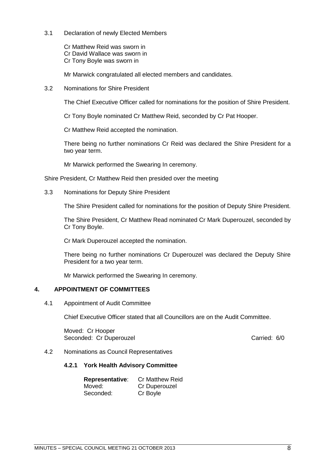3.1 Declaration of newly Elected Members

Cr Matthew Reid was sworn in Cr David Wallace was sworn in Cr Tony Boyle was sworn in

Mr Marwick congratulated all elected members and candidates.

<span id="page-7-0"></span>3.2 Nominations for Shire President

The Chief Executive Officer called for nominations for the position of Shire President.

Cr Tony Boyle nominated Cr Matthew Reid, seconded by Cr Pat Hooper.

Cr Matthew Reid accepted the nomination.

There being no further nominations Cr Reid was declared the Shire President for a two year term.

Mr Marwick performed the Swearing In ceremony.

Shire President, Cr Matthew Reid then presided over the meeting

<span id="page-7-1"></span>3.3 Nominations for Deputy Shire President

The Shire President called for nominations for the position of Deputy Shire President.

The Shire President, Cr Matthew Read nominated Cr Mark Duperouzel, seconded by Cr Tony Boyle.

Cr Mark Duperouzel accepted the nomination.

There being no further nominations Cr Duperouzel was declared the Deputy Shire President for a two year term.

Mr Marwick performed the Swearing In ceremony.

### <span id="page-7-2"></span>**4. APPOINTMENT OF COMMITTEES**

<span id="page-7-3"></span>4.1 Appointment of Audit Committee

Chief Executive Officer stated that all Councillors are on the Audit Committee.

Moved: Cr Hooper Seconded: Cr Duperouzel **Carried: 60** Seconded: 60

#### <span id="page-7-4"></span>4.2 Nominations as Council Representatives

#### **4.2.1 York Health Advisory Committee**

| <b>Representative:</b> | <b>Cr Matthew Reid</b> |
|------------------------|------------------------|
| Moved:                 | Cr Duperouzel          |
| Seconded:              | Cr Boyle               |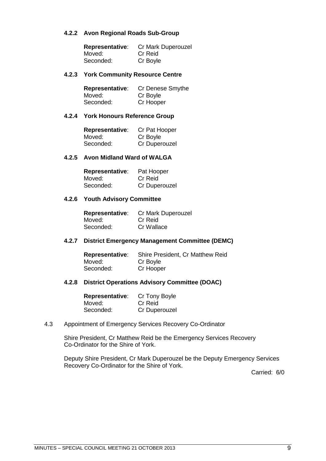#### **4.2.2 Avon Regional Roads Sub-Group**

| <b>Representative:</b> | Cr Mark Duperouzel |
|------------------------|--------------------|
| Moved:                 | Cr Reid            |
| Seconded:              | Cr Boyle           |

#### **4.2.3 York Community Resource Centre**

| <b>Representative:</b> | Cr Denese Smythe |
|------------------------|------------------|
| Moved:                 | Cr Boyle         |
| Seconded:              | Cr Hooper        |

#### **4.2.4 York Honours Reference Group**

| Representative: | Cr Pat Hooper |
|-----------------|---------------|
| Moved:          | Cr Boyle      |
| Seconded:       | Cr Duperouzel |

#### **4.2.5 Avon Midland Ward of WALGA**

| <b>Representative:</b> | Pat Hooper    |
|------------------------|---------------|
| Moved:                 | Cr Reid       |
| Seconded:              | Cr Duperouzel |

#### **4.2.6 Youth Advisory Committee**

| <b>Representative:</b> | Cr Mark Duperouzel |
|------------------------|--------------------|
| Moved:                 | Cr Reid            |
| Seconded:              | Cr Wallace         |

#### **4.2.7 District Emergency Management Committee (DEMC)**

**Representative:** Shire President, Cr Matthew Reid<br>Moved: Cr Boyle Cr Boyle<br>Cr Hooper Seconded:

#### **4.2.8 District Operations Advisory Committee (DOAC)**

| <b>Representative:</b> | Cr Tony Boyle |
|------------------------|---------------|
| Moved:                 | Cr Reid       |
| Seconded:              | Cr Duperouzel |

#### <span id="page-8-0"></span>4.3 Appointment of Emergency Services Recovery Co-Ordinator

Shire President, Cr Matthew Reid be the Emergency Services Recovery Co-Ordinator for the Shire of York.

<span id="page-8-1"></span>Deputy Shire President, Cr Mark Duperouzel be the Deputy Emergency Services Recovery Co-Ordinator for the Shire of York.

Carried: 6/0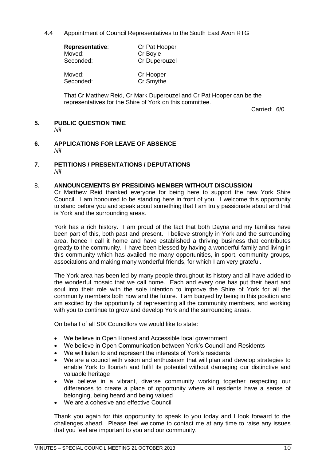4.4 Appointment of Council Representatives to the South East Avon RTG

| <b>Representative:</b> | Cr Pat Hooper |
|------------------------|---------------|
| Moved:                 | Cr Boyle      |
| Seconded:              | Cr Duperouzel |
| Moved:                 | Cr Hooper     |
| Seconded:              | Cr Smythe     |

That Cr Matthew Reid, Cr Mark Duperouzel and Cr Pat Hooper can be the representatives for the Shire of York on this committee.

Carried: 6/0

#### <span id="page-9-0"></span>**5. PUBLIC QUESTION TIME**

*Nil* 

- <span id="page-9-1"></span>**6. APPLICATIONS FOR LEAVE OF ABSENCE** *Nil*
- <span id="page-9-2"></span>**7. PETITIONS / PRESENTATIONS / DEPUTATIONS** *Nil*

#### <span id="page-9-3"></span>8. **ANNOUNCEMENTS BY PRESIDING MEMBER WITHOUT DISCUSSION**

Cr Matthew Reid thanked everyone for being here to support the new York Shire Council. I am honoured to be standing here in front of you. I welcome this opportunity to stand before you and speak about something that I am truly passionate about and that is York and the surrounding areas.

York has a rich history. I am proud of the fact that both Dayna and my families have been part of this, both past and present. I believe strongly in York and the surrounding area, hence I call it home and have established a thriving business that contributes greatly to the community. I have been blessed by having a wonderful family and living in this community which has availed me many opportunities, in sport, community groups, associations and making many wonderful friends, for which I am very grateful.

The York area has been led by many people throughout its history and all have added to the wonderful mosaic that we call home. Each and every one has put their heart and soul into their role with the sole intention to improve the Shire of York for all the community members both now and the future. I am buoyed by being in this position and am excited by the opportunity of representing all the community members, and working with you to continue to grow and develop York and the surrounding areas.

On behalf of all SIX Councillors we would like to state:

- We believe in Open Honest and Accessible local government
- We believe in Open Communication between York's Council and Residents
- We will listen to and represent the interests of York's residents
- We are a council with vision and enthusiasm that will plan and develop strategies to enable York to flourish and fulfil its potential without damaging our distinctive and valuable heritage
- We believe in a vibrant, diverse community working together respecting our differences to create a place of opportunity where all residents have a sense of belonging, being heard and being valued
- We are a cohesive and effective Council

Thank you again for this opportunity to speak to you today and I look forward to the challenges ahead. Please feel welcome to contact me at any time to raise any issues that you feel are important to you and our community.